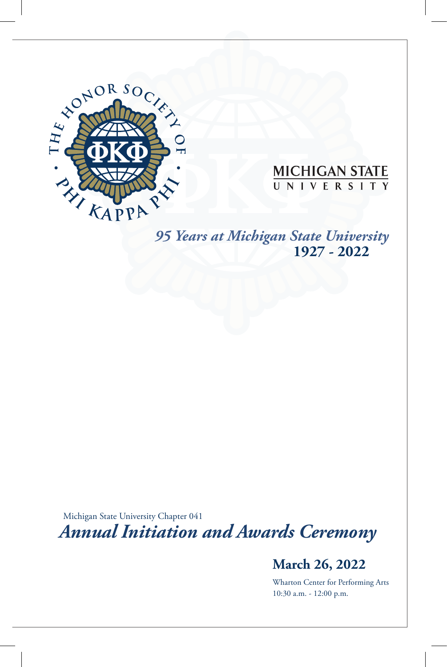

# **MICHIGAN STATE**

Center for Service-Learning and Civic Engagement

*95 Years at Michigan State University* **1927 - 2022**

Michigan State University Chapter 041 *Annual Initiation and Awards Ceremony*

### **March 26, 2022**

Wharton Center for Performing Arts 10:30 a.m. - 12:00 p.m.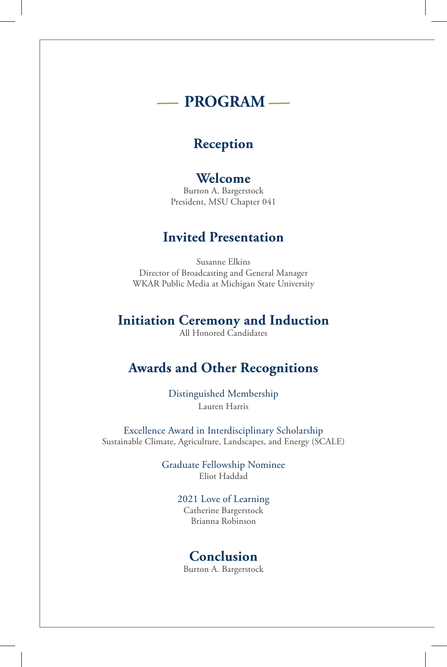### **-PROGRAM-**

### **Reception**

### **Welcome**

Burton A. Bargerstock President, MSU Chapter 041

### **Invited Presentation**

Susanne Elkins Director of Broadcasting and General Manager WKAR Public Media at Michigan State University

### **Initiation Ceremony and Induction**

All Honored Candidates

### **Awards and Other Recognitions**

Distinguished Membership Lauren Harris

Excellence Award in Interdisciplinary Scholarship Sustainable Climate, Agriculture, Landscapes, and Energy (SCALE)

> Graduate Fellowship Nominee Eliot Haddad

> > 2021 Love of Learning Catherine Bargerstock Brianna Robinson

### **Conclusion**

Burton A. Bargerstock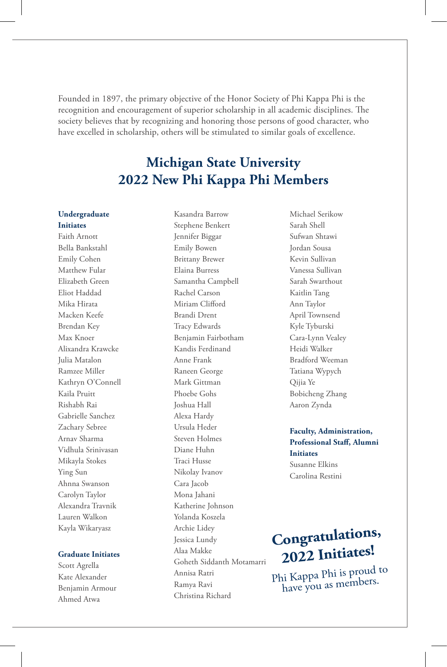Founded in 1897, the primary objective of the Honor Society of Phi Kappa Phi is the recognition and encouragement of superior scholarship in all academic disciplines. The society believes that by recognizing and honoring those persons of good character, who have excelled in scholarship, others will be stimulated to similar goals of excellence.

### **Michigan State University 2022 New Phi Kappa Phi Members**

Kasandra Barrow

#### **Undergraduate Initiates**

Faith Arnott Bella Bankstahl Emily Cohen Matthew Fular Elizabeth Green Eliot Haddad Mika Hirata Macken Keefe Brendan Key Max Knoer Alixandra Krawcke Julia Matalon Ramzee Miller Kathryn O'Connell Kaila Pruitt Rishabh Rai Gabrielle Sanchez Zachary Sebree Arnav Sharma Vidhula Srinivasan Mikayla Stokes Ying Sun Ahnna Swanson Carolyn Taylor Alexandra Travnik Lauren Walkon Kayla Wikaryasz

#### **Graduate Initiates**

Scott Agrella Kate Alexander Benjamin Armour Ahmed Atwa

Stephene Benkert Jennifer Biggar Emily Bowen Brittany Brewer Elaina Burress Samantha Campbell Rachel Carson Miriam Clifford Brandi Drent Tracy Edwards Benjamin Fairbotham Kandis Ferdinand Anne Frank Raneen George Mark Gittman Phoebe Gohs Joshua Hall Alexa Hardy Ursula Heder Steven Holmes Diane Huhn Traci Husse Nikolay Ivanov Cara Jacob Mona Jahani Katherine Johnson Yolanda Koszela Archie Lidey Jessica Lundy Alaa Makke Goheth Siddanth Motamarri Annisa Ratri Ramya Ravi Christina Richard

Michael Serikow Sarah Shell Sufwan Shtawi Jordan Sousa Kevin Sullivan Vanessa Sullivan Sarah Swarthout Kaitlin Tang Ann Taylor April Townsend Kyle Tyburski Cara-Lynn Vealey Heidi Walker Bradford Weeman Tatiana Wypych Qijia Ye Bobicheng Zhang Aaron Zynda

#### **Faculty, Administration, Professional Staff, Alumni Initiates**

Susanne Elkins Carolina Restini

## **Congratulations, 2022 Initiates!**

Phi Kappa Phi is proud to have you as members.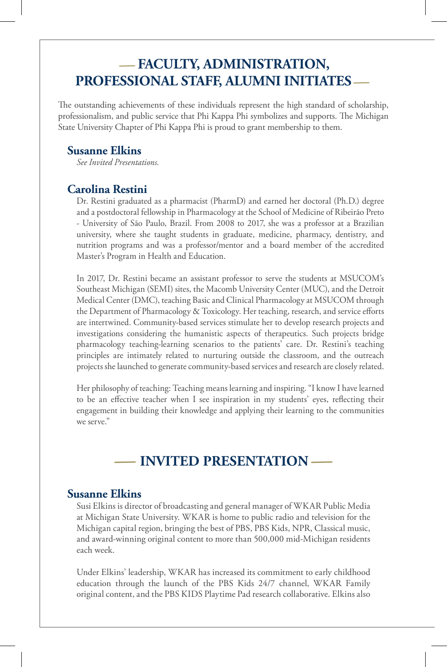### **-FACULTY, ADMINISTRATION, PROFESSIONAL STAFF, ALUMNI INITIATES-**

The outstanding achievements of these individuals represent the high standard of scholarship, professionalism, and public service that Phi Kappa Phi symbolizes and supports. The Michigan State University Chapter of Phi Kappa Phi is proud to grant membership to them.

#### **Susanne Elkins**

*See Invited Presentations.* 

### **Carolina Restini**

Dr. Restini graduated as a pharmacist (PharmD) and earned her doctoral (Ph.D.) degree and a postdoctoral fellowship in Pharmacology at the School of Medicine of Ribeirão Preto - University of São Paulo, Brazil. From 2008 to 2017, she was a professor at a Brazilian university, where she taught students in graduate, medicine, pharmacy, dentistry, and nutrition programs and was a professor/mentor and a board member of the accredited Master's Program in Health and Education.

In 2017, Dr. Restini became an assistant professor to serve the students at MSUCOM's Southeast Michigan (SEMI) sites, the Macomb University Center (MUC), and the Detroit Medical Center (DMC), teaching Basic and Clinical Pharmacology at MSUCOM through the Department of Pharmacology & Toxicology. Her teaching, research, and service efforts are intertwined. Community-based services stimulate her to develop research projects and investigations considering the humanistic aspects of therapeutics. Such projects bridge pharmacology teaching-learning scenarios to the patients' care. Dr. Restini's teaching principles are intimately related to nurturing outside the classroom, and the outreach projects she launched to generate community-based services and research are closely related.

Her philosophy of teaching: Teaching means learning and inspiring. "I know I have learned to be an effective teacher when I see inspiration in my students' eyes, reflecting their engagement in building their knowledge and applying their learning to the communities we serve."<br> **-INVITED PRESENTATION** we serve."

#### **Susanne Elkins**

Susi Elkins is director of broadcasting and general manager of WKAR Public Media at Michigan State University. WKAR is home to public radio and television for the Michigan capital region, bringing the best of PBS, PBS Kids, NPR, Classical music, and award-winning original content to more than 500,000 mid-Michigan residents each week.

Under Elkins' leadership, WKAR has increased its commitment to early childhood education through the launch of the PBS Kids 24/7 channel, WKAR Family original content, and the PBS KIDS Playtime Pad research collaborative. Elkins also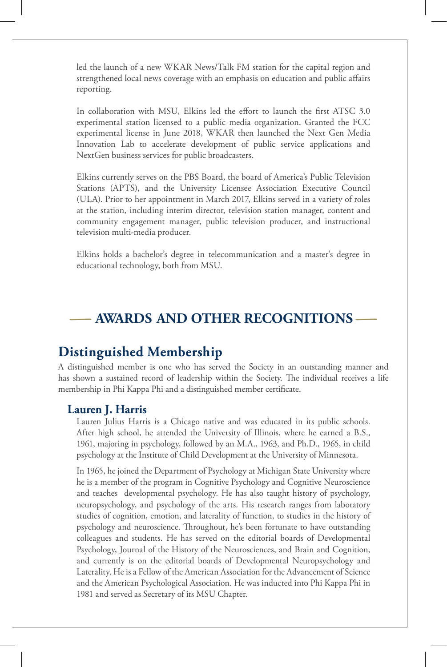led the launch of a new WKAR News/Talk FM station for the capital region and strengthened local news coverage with an emphasis on education and public affairs reporting.

In collaboration with MSU, Elkins led the effort to launch the first ATSC 3.0 experimental station licensed to a public media organization. Granted the FCC experimental license in June 2018, WKAR then launched the Next Gen Media Innovation Lab to accelerate development of public service applications and NextGen business services for public broadcasters.

Elkins currently serves on the PBS Board, the board of America's Public Television Stations (APTS), and the University Licensee Association Executive Council (ULA). Prior to her appointment in March 2017, Elkins served in a variety of roles at the station, including interim director, television station manager, content and community engagement manager, public television producer, and instructional television multi-media producer.

Elkins holds a bachelor's degree in telecommunication and a master's degree in educational technology, both from MSU.

### **-AWARDS AND OTHER RECOGNITIONS-**

### **Distinguished Membership**

A distinguished member is one who has served the Society in an outstanding manner and has shown a sustained record of leadership within the Society. The individual receives a life membership in Phi Kappa Phi and a distinguished member certificate.

#### **Lauren J. Harris**

Lauren Julius Harris is a Chicago native and was educated in its public schools. After high school, he attended the University of Illinois, where he earned a B.S., 1961, majoring in psychology, followed by an M.A., 1963, and Ph.D., 1965, in child psychology at the Institute of Child Development at the University of Minnesota.

In 1965, he joined the Department of Psychology at Michigan State University where he is a member of the program in Cognitive Psychology and Cognitive Neuroscience and teaches developmental psychology. He has also taught history of psychology, neuropsychology, and psychology of the arts. His research ranges from laboratory studies of cognition, emotion, and laterality of function, to studies in the history of psychology and neuroscience. Throughout, he's been fortunate to have outstanding colleagues and students. He has served on the editorial boards of Developmental Psychology, Journal of the History of the Neurosciences, and Brain and Cognition, and currently is on the editorial boards of Developmental Neuropsychology and Laterality. He is a Fellow of the American Association for the Advancement of Science and the American Psychological Association. He was inducted into Phi Kappa Phi in 1981 and served as Secretary of its MSU Chapter.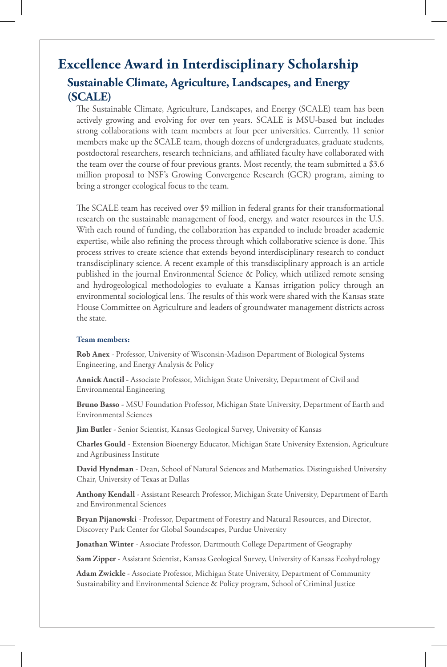### **Excellence Award in Interdisciplinary Scholarship Sustainable Climate, Agriculture, Landscapes, and Energy (SCALE)**

The Sustainable Climate, Agriculture, Landscapes, and Energy (SCALE) team has been actively growing and evolving for over ten years. SCALE is MSU-based but includes strong collaborations with team members at four peer universities. Currently, 11 senior members make up the SCALE team, though dozens of undergraduates, graduate students, postdoctoral researchers, research technicians, and affiliated faculty have collaborated with the team over the course of four previous grants. Most recently, the team submitted a \$3.6 million proposal to NSF's Growing Convergence Research (GCR) program, aiming to bring a stronger ecological focus to the team.

The SCALE team has received over \$9 million in federal grants for their transformational research on the sustainable management of food, energy, and water resources in the U.S. With each round of funding, the collaboration has expanded to include broader academic expertise, while also refining the process through which collaborative science is done. This process strives to create science that extends beyond interdisciplinary research to conduct transdisciplinary science. A recent example of this transdisciplinary approach is an article published in the journal Environmental Science & Policy, which utilized remote sensing and hydrogeological methodologies to evaluate a Kansas irrigation policy through an environmental sociological lens. The results of this work were shared with the Kansas state House Committee on Agriculture and leaders of groundwater management districts across the state.

#### **Team members:**

**Rob Anex** - Professor, University of Wisconsin-Madison Department of Biological Systems Engineering, and Energy Analysis & Policy

**Annick Anctil** - Associate Professor, Michigan State University, Department of Civil and Environmental Engineering

**Bruno Basso** - MSU Foundation Professor, Michigan State University, Department of Earth and Environmental Sciences

**Jim Butler** - Senior Scientist, Kansas Geological Survey, University of Kansas

**Charles Gould** - Extension Bioenergy Educator, Michigan State University Extension, Agriculture and Agribusiness Institute

**David Hyndman** - Dean, School of Natural Sciences and Mathematics, Distinguished University Chair, University of Texas at Dallas

**Anthony Kendall** - Assistant Research Professor, Michigan State University, Department of Earth and Environmental Sciences

**Bryan Pijanowski** - Professor, Department of Forestry and Natural Resources, and Director, Discovery Park Center for Global Soundscapes, Purdue University

**Jonathan Winter** - Associate Professor, Dartmouth College Department of Geography

**Sam Zipper** - Assistant Scientist, Kansas Geological Survey, University of Kansas Ecohydrology

**Adam Zwickle** - Associate Professor, Michigan State University, Department of Community Sustainability and Environmental Science & Policy program, School of Criminal Justice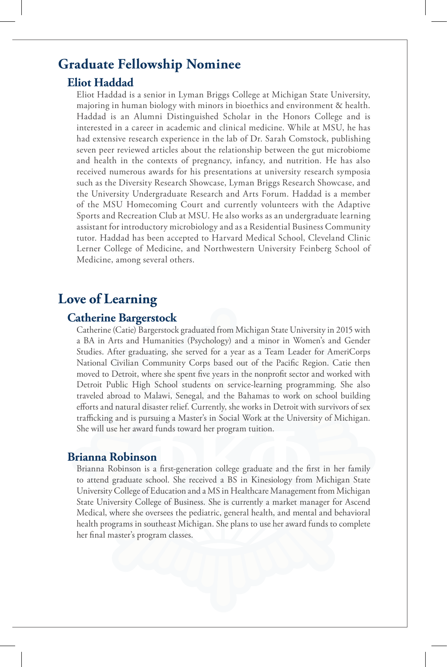### **Graduate Fellowship Nominee**

#### **Eliot Haddad**

Eliot Haddad is a senior in Lyman Briggs College at Michigan State University, majoring in human biology with minors in bioethics and environment & health. Haddad is an Alumni Distinguished Scholar in the Honors College and is interested in a career in academic and clinical medicine. While at MSU, he has had extensive research experience in the lab of Dr. Sarah Comstock, publishing seven peer reviewed articles about the relationship between the gut microbiome and health in the contexts of pregnancy, infancy, and nutrition. He has also received numerous awards for his presentations at university research symposia such as the Diversity Research Showcase, Lyman Briggs Research Showcase, and the University Undergraduate Research and Arts Forum. Haddad is a member of the MSU Homecoming Court and currently volunteers with the Adaptive Sports and Recreation Club at MSU. He also works as an undergraduate learning assistant for introductory microbiology and as a Residential Business Community tutor. Haddad has been accepted to Harvard Medical School, Cleveland Clinic Lerner College of Medicine, and Northwestern University Feinberg School of Medicine, among several others.

### **Love of Learning**

#### **Catherine Bargerstock**

Catherine (Catie) Bargerstock graduated from Michigan State University in 2015 with a BA in Arts and Humanities (Psychology) and a minor in Women's and Gender Studies. After graduating, she served for a year as a Team Leader for AmeriCorps National Civilian Community Corps based out of the Pacific Region. Catie then moved to Detroit, where she spent five years in the nonprofit sector and worked with Detroit Public High School students on service-learning programming. She also traveled abroad to Malawi, Senegal, and the Bahamas to work on school building efforts and natural disaster relief. Currently, she works in Detroit with survivors of sex trafficking and is pursuing a Master's in Social Work at the University of Michigan. She will use her award funds toward her program tuition.

#### **Brianna Robinson**

Brianna Robinson is a first-generation college graduate and the first in her family to attend graduate school. She received a BS in Kinesiology from Michigan State University College of Education and a MS in Healthcare Management from Michigan State University College of Business. She is currently a market manager for Ascend Medical, where she oversees the pediatric, general health, and mental and behavioral health programs in southeast Michigan. She plans to use her award funds to complete her final master's program classes.